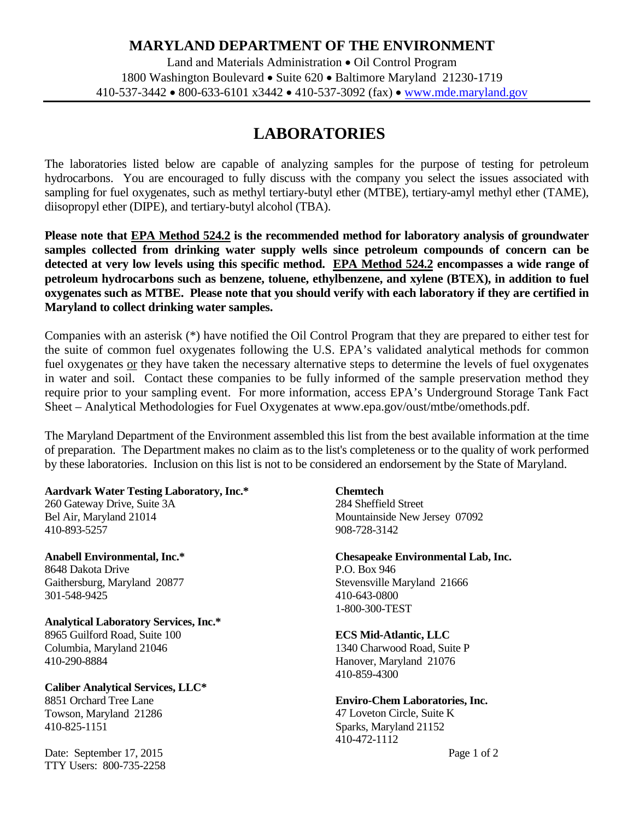# **MARYLAND DEPARTMENT OF THE ENVIRONMENT**

Land and Materials Administration • Oil Control Program 1800 Washington Boulevard • Suite 620 • Baltimore Maryland 21230-1719 410-537-3442 • 800-633-6101 x3442 • 410-537-3092 (fax) • [www.mde.maryland.gov](http://www.mde.maryland.gov/)

# **LABORATORIES**

The laboratories listed below are capable of analyzing samples for the purpose of testing for petroleum hydrocarbons. You are encouraged to fully discuss with the company you select the issues associated with sampling for fuel oxygenates, such as methyl tertiary-butyl ether (MTBE), tertiary-amyl methyl ether (TAME), diisopropyl ether (DIPE), and tertiary-butyl alcohol (TBA).

**Please note that EPA Method 524.2 is the recommended method for laboratory analysis of groundwater samples collected from drinking water supply wells since petroleum compounds of concern can be detected at very low levels using this specific method. EPA Method 524.2 encompasses a wide range of petroleum hydrocarbons such as benzene, toluene, ethylbenzene, and xylene (BTEX), in addition to fuel oxygenates such as MTBE. Please note that you should verify with each laboratory if they are certified in Maryland to collect drinking water samples.**

Companies with an asterisk (\*) have notified the Oil Control Program that they are prepared to either test for the suite of common fuel oxygenates following the U.S. EPA's validated analytical methods for common fuel oxygenates or they have taken the necessary alternative steps to determine the levels of fuel oxygenates in water and soil. Contact these companies to be fully informed of the sample preservation method they require prior to your sampling event. For more information, access EPA's Underground Storage Tank Fact Sheet – Analytical Methodologies for Fuel Oxygenates at [www.epa.gov/oust/mtbe/omethods.pdf.](http://www.epa.gov/oust/mtbe/omethods.pdf)

The Maryland Department of the Environment assembled this list from the best available information at the time of preparation. The Department makes no claim as to the list's completeness or to the quality of work performed by these laboratories. Inclusion on this list is not to be considered an endorsement by the State of Maryland.

#### **Aardvark Water Testing Laboratory, Inc.\*** 260 Gateway Drive, Suite 3A

Bel Air, Maryland 21014 410-893-5257

**Anabell Environmental, Inc.\*** 8648 Dakota Drive Gaithersburg, Maryland 20877 301-548-9425

**Analytical Laboratory Services, Inc.\*** 8965 Guilford Road, Suite 100 Columbia, Maryland 21046 410-290-8884

**Caliber Analytical Services, LLC\*** 8851 Orchard Tree Lane Towson, Maryland 21286 410-825-1151

Date: September 17, 2015 TTY Users: 800-735-2258

# **Chemtech**

284 Sheffield Street Mountainside New Jersey 07092 908-728-3142

**Chesapeake Environmental Lab, Inc.** P.O. Box 946 Stevensville Maryland 21666 410-643-0800

## **ECS Mid-Atlantic, LLC**

1-800-300-TEST

1340 Charwood Road, Suite P Hanover, Maryland 21076 410-859-4300

## **Enviro-Chem Laboratories, Inc.**

47 Loveton Circle, Suite K Sparks, Maryland 21152 410-472-1112

Page 1 of 2